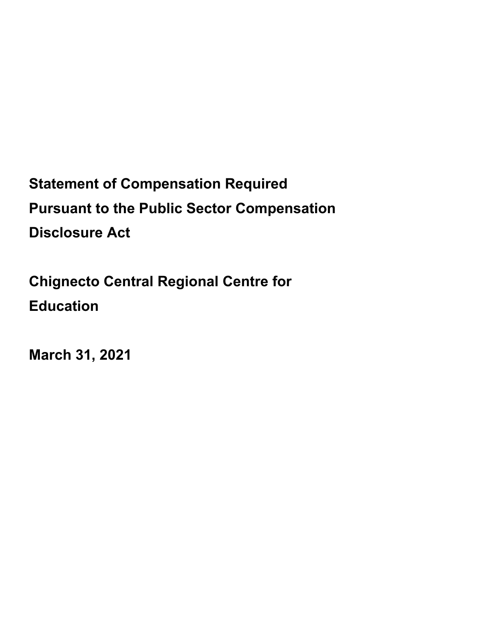**Statement of Compensation Required Pursuant to the Public Sector Compensation Disclosure Act** 

**Chignecto Central Regional Centre for Education** 

**March 31, 2021**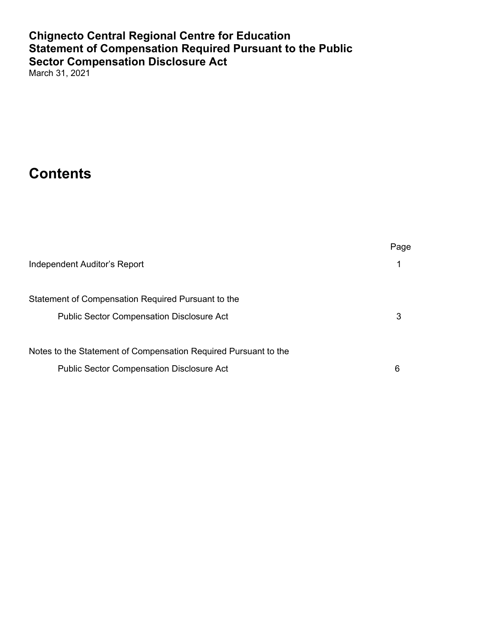## **Chignecto Central Regional Centre for Education Statement of Compensation Required Pursuant to the Public Sector Compensation Disclosure Act**

March 31, 2021

# **Contents**

|                                                                 | Page |
|-----------------------------------------------------------------|------|
| Independent Auditor's Report                                    | 1    |
| Statement of Compensation Required Pursuant to the              |      |
| <b>Public Sector Compensation Disclosure Act</b>                | 3    |
| Notes to the Statement of Compensation Required Pursuant to the |      |
| <b>Public Sector Compensation Disclosure Act</b>                | 6    |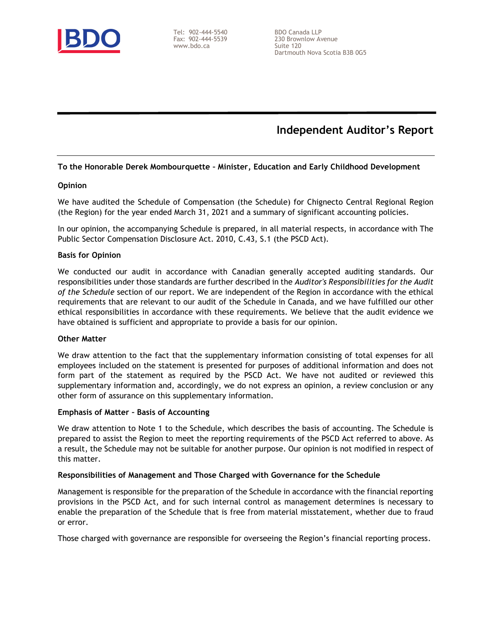

Tel: 902-444-5540 Fax: 902-444-5539 www.bdo.ca

BDO Canada LLP 230 Brownlow Avenue Suite 120 Dartmouth Nova Scotia B3B 0G5

## Independent Auditor's Report

#### To the Honorable Derek Mombourquette – Minister, Education and Early Childhood Development

#### **Opinion**

We have audited the Schedule of Compensation (the Schedule) for Chignecto Central Regional Region (the Region) for the year ended March 31, 2021 and a summary of significant accounting policies.

In our opinion, the accompanying Schedule is prepared, in all material respects, in accordance with The Public Sector Compensation Disclosure Act. 2010, C.43, S.1 (the PSCD Act).

#### Basis for Opinion

We conducted our audit in accordance with Canadian generally accepted auditing standards. Our responsibilities under those standards are further described in the Auditor's Responsibilities for the Audit of the Schedule section of our report. We are independent of the Region in accordance with the ethical requirements that are relevant to our audit of the Schedule in Canada, and we have fulfilled our other ethical responsibilities in accordance with these requirements. We believe that the audit evidence we have obtained is sufficient and appropriate to provide a basis for our opinion.

#### Other Matter

We draw attention to the fact that the supplementary information consisting of total expenses for all employees included on the statement is presented for purposes of additional information and does not form part of the statement as required by the PSCD Act. We have not audited or reviewed this supplementary information and, accordingly, we do not express an opinion, a review conclusion or any other form of assurance on this supplementary information.

#### Emphasis of Matter – Basis of Accounting

We draw attention to Note 1 to the Schedule, which describes the basis of accounting. The Schedule is prepared to assist the Region to meet the reporting requirements of the PSCD Act referred to above. As a result, the Schedule may not be suitable for another purpose. Our opinion is not modified in respect of this matter.

#### Responsibilities of Management and Those Charged with Governance for the Schedule

Management is responsible for the preparation of the Schedule in accordance with the financial reporting provisions in the PSCD Act, and for such internal control as management determines is necessary to enable the preparation of the Schedule that is free from material misstatement, whether due to fraud or error.

Those charged with governance are responsible for overseeing the Region's financial reporting process.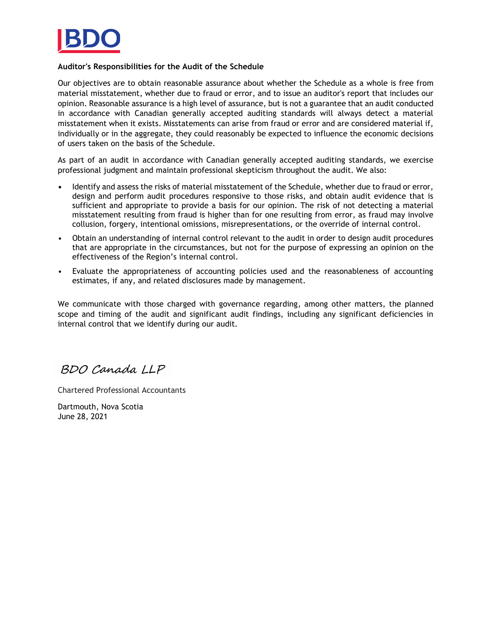

#### Auditor's Responsibilities for the Audit of the Schedule

Our objectives are to obtain reasonable assurance about whether the Schedule as a whole is free from material misstatement, whether due to fraud or error, and to issue an auditor's report that includes our opinion. Reasonable assurance is a high level of assurance, but is not a guarantee that an audit conducted in accordance with Canadian generally accepted auditing standards will always detect a material misstatement when it exists. Misstatements can arise from fraud or error and are considered material if, individually or in the aggregate, they could reasonably be expected to influence the economic decisions of users taken on the basis of the Schedule.

As part of an audit in accordance with Canadian generally accepted auditing standards, we exercise professional judgment and maintain professional skepticism throughout the audit. We also:

- Identify and assess the risks of material misstatement of the Schedule, whether due to fraud or error, design and perform audit procedures responsive to those risks, and obtain audit evidence that is sufficient and appropriate to provide a basis for our opinion. The risk of not detecting a material misstatement resulting from fraud is higher than for one resulting from error, as fraud may involve collusion, forgery, intentional omissions, misrepresentations, or the override of internal control.
- Obtain an understanding of internal control relevant to the audit in order to design audit procedures that are appropriate in the circumstances, but not for the purpose of expressing an opinion on the effectiveness of the Region's internal control.
- Evaluate the appropriateness of accounting policies used and the reasonableness of accounting estimates, if any, and related disclosures made by management.

We communicate with those charged with governance regarding, among other matters, the planned scope and timing of the audit and significant audit findings, including any significant deficiencies in internal control that we identify during our audit.

BDO Canada LLP

Chartered Professional Accountants

Dartmouth, Nova Scotia June 28, 2021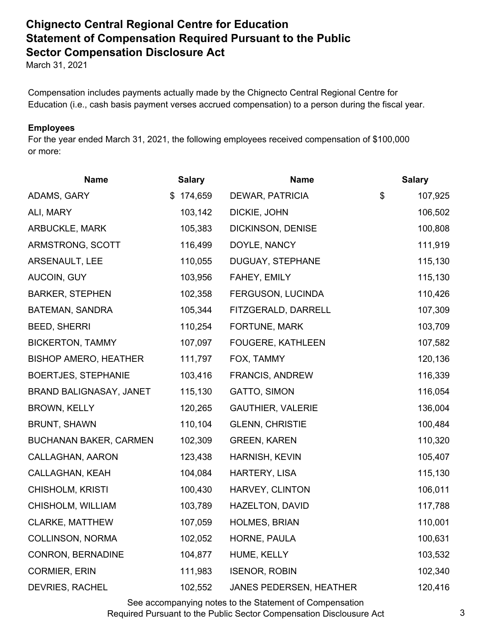# **Chignecto Central Regional Centre for Education Statement of Compensation Required Pursuant to the Public Sector Compensation Disclosure Act**

March 31, 2021

Compensation includes payments actually made by the Chignecto Central Regional Centre for Education (i.e., cash basis payment verses accrued compensation) to a person during the fiscal year.

### **Employees**

For the year ended March 31, 2021, the following employees received compensation of \$100,000 or more:

| <b>Name</b>                   | <b>Salary</b> | <b>Name</b>              | <b>Salary</b> |
|-------------------------------|---------------|--------------------------|---------------|
| ADAMS, GARY                   | \$174,659     | DEWAR, PATRICIA          | \$<br>107,925 |
| ALI, MARY                     | 103,142       | DICKIE, JOHN             | 106,502       |
| ARBUCKLE, MARK                | 105,383       | DICKINSON, DENISE        | 100,808       |
| ARMSTRONG, SCOTT              | 116,499       | DOYLE, NANCY             | 111,919       |
| ARSENAULT, LEE                | 110,055       | DUGUAY, STEPHANE         | 115,130       |
| AUCOIN, GUY                   | 103,956       | FAHEY, EMILY             | 115,130       |
| <b>BARKER, STEPHEN</b>        | 102,358       | FERGUSON, LUCINDA        | 110,426       |
| BATEMAN, SANDRA               | 105,344       | FITZGERALD, DARRELL      | 107,309       |
| <b>BEED, SHERRI</b>           | 110,254       | FORTUNE, MARK            | 103,709       |
| <b>BICKERTON, TAMMY</b>       | 107,097       | FOUGERE, KATHLEEN        | 107,582       |
| <b>BISHOP AMERO, HEATHER</b>  | 111,797       | FOX, TAMMY               | 120,136       |
| <b>BOERTJES, STEPHANIE</b>    | 103,416       | <b>FRANCIS, ANDREW</b>   | 116,339       |
| BRAND BALIGNASAY, JANET       | 115,130       | GATTO, SIMON             | 116,054       |
| <b>BROWN, KELLY</b>           | 120,265       | <b>GAUTHIER, VALERIE</b> | 136,004       |
| <b>BRUNT, SHAWN</b>           | 110,104       | <b>GLENN, CHRISTIE</b>   | 100,484       |
| <b>BUCHANAN BAKER, CARMEN</b> | 102,309       | <b>GREEN, KAREN</b>      | 110,320       |
| CALLAGHAN, AARON              | 123,438       | <b>HARNISH, KEVIN</b>    | 105,407       |
| CALLAGHAN, KEAH               | 104,084       | HARTERY, LISA            | 115,130       |
| <b>CHISHOLM, KRISTI</b>       | 100,430       | HARVEY, CLINTON          | 106,011       |
| CHISHOLM, WILLIAM             | 103,789       | HAZELTON, DAVID          | 117,788       |
| <b>CLARKE, MATTHEW</b>        | 107,059       | <b>HOLMES, BRIAN</b>     | 110,001       |
| COLLINSON, NORMA              | 102,052       | HORNE, PAULA             | 100,631       |
| <b>CONRON, BERNADINE</b>      | 104,877       | HUME, KELLY              | 103,532       |
| <b>CORMIER, ERIN</b>          | 111,983       | <b>ISENOR, ROBIN</b>     | 102,340       |
| <b>DEVRIES, RACHEL</b>        | 102,552       | JANES PEDERSEN, HEATHER  | 120,416       |

See accompanying notes to the Statement of Compensation Required Pursuant to the Public Sector Compensation Disclousure Act 3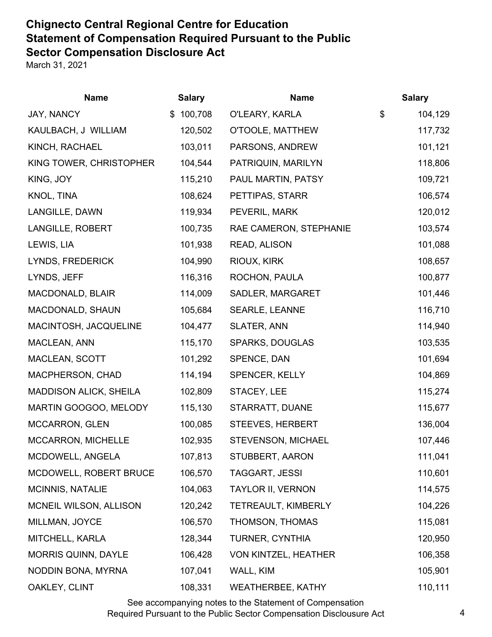# **Chignecto Central Regional Centre for Education Statement of Compensation Required Pursuant to the Public Sector Compensation Disclosure Act**

March 31, 2021

| <b>Name</b>                   | <b>Salary</b> | <b>Name</b>              | <b>Salary</b> |
|-------------------------------|---------------|--------------------------|---------------|
| JAY, NANCY                    | 100,708<br>\$ | O'LEARY, KARLA           | \$<br>104,129 |
| KAULBACH, J WILLIAM           | 120,502       | O'TOOLE, MATTHEW         | 117,732       |
| KINCH, RACHAEL                | 103,011       | PARSONS, ANDREW          | 101,121       |
| KING TOWER, CHRISTOPHER       | 104,544       | PATRIQUIN, MARILYN       | 118,806       |
| KING, JOY                     | 115,210       | PAUL MARTIN, PATSY       | 109,721       |
| KNOL, TINA                    | 108,624       | PETTIPAS, STARR          | 106,574       |
| LANGILLE, DAWN                | 119,934       | PEVERIL, MARK            | 120,012       |
| LANGILLE, ROBERT              | 100,735       | RAE CAMERON, STEPHANIE   | 103,574       |
| LEWIS, LIA                    | 101,938       | READ, ALISON             | 101,088       |
| LYNDS, FREDERICK              | 104,990       | RIOUX, KIRK              | 108,657       |
| LYNDS, JEFF                   | 116,316       | ROCHON, PAULA            | 100,877       |
| MACDONALD, BLAIR              | 114,009       | SADLER, MARGARET         | 101,446       |
| MACDONALD, SHAUN              | 105,684       | <b>SEARLE, LEANNE</b>    | 116,710       |
| MACINTOSH, JACQUELINE         | 104,477       | <b>SLATER, ANN</b>       | 114,940       |
| MACLEAN, ANN                  | 115,170       | <b>SPARKS, DOUGLAS</b>   | 103,535       |
| MACLEAN, SCOTT                | 101,292       | SPENCE, DAN              | 101,694       |
| MACPHERSON, CHAD              | 114,194       | <b>SPENCER, KELLY</b>    | 104,869       |
| <b>MADDISON ALICK, SHEILA</b> | 102,809       | STACEY, LEE              | 115,274       |
| MARTIN GOOGOO, MELODY         | 115,130       | STARRATT, DUANE          | 115,677       |
| <b>MCCARRON, GLEN</b>         | 100,085       | STEEVES, HERBERT         | 136,004       |
| MCCARRON, MICHELLE            | 102,935       | STEVENSON, MICHAEL       | 107,446       |
| MCDOWELL, ANGELA              | 107,813       | STUBBERT, AARON          | 111,041       |
| MCDOWELL, ROBERT BRUCE        | 106,570       | TAGGART, JESSI           | 110,601       |
| <b>MCINNIS, NATALIE</b>       | 104,063       | <b>TAYLOR II, VERNON</b> | 114,575       |
| MCNEIL WILSON, ALLISON        | 120,242       | TETREAULT, KIMBERLY      | 104,226       |
| MILLMAN, JOYCE                | 106,570       | THOMSON, THOMAS          | 115,081       |
| MITCHELL, KARLA               | 128,344       | <b>TURNER, CYNTHIA</b>   | 120,950       |
| MORRIS QUINN, DAYLE           | 106,428       | VON KINTZEL, HEATHER     | 106,358       |
| NODDIN BONA, MYRNA            | 107,041       | WALL, KIM                | 105,901       |
| OAKLEY, CLINT                 | 108,331       | <b>WEATHERBEE, KATHY</b> | 110,111       |

See accompanying notes to the Statement of Compensation Required Pursuant to the Public Sector Compensation Disclousure Act 4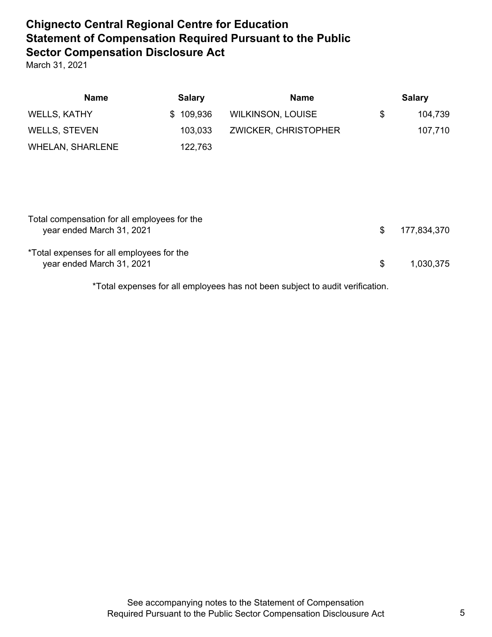# **Chignecto Central Regional Centre for Education Statement of Compensation Required Pursuant to the Public Sector Compensation Disclosure Act**

March 31, 2021

| <b>Name</b>                                  | <b>Salary</b> | <b>Name</b>                 | <b>Salary</b>     |
|----------------------------------------------|---------------|-----------------------------|-------------------|
| <b>WELLS, KATHY</b>                          | 109,936<br>\$ | <b>WILKINSON, LOUISE</b>    | \$<br>104,739     |
| <b>WELLS, STEVEN</b>                         | 103,033       | <b>ZWICKER, CHRISTOPHER</b> | 107,710           |
| <b>WHELAN, SHARLENE</b>                      | 122,763       |                             |                   |
|                                              |               |                             |                   |
|                                              |               |                             |                   |
|                                              |               |                             |                   |
| Total compensation for all employees for the |               |                             |                   |
| year ended March 31, 2021                    |               |                             | \$<br>177,834,370 |
| *Total expenses for all employees for the    |               |                             |                   |
| year ended March 31, 2021                    |               |                             | \$<br>1,030,375   |

\*Total expenses for all employees has not been subject to audit verification.